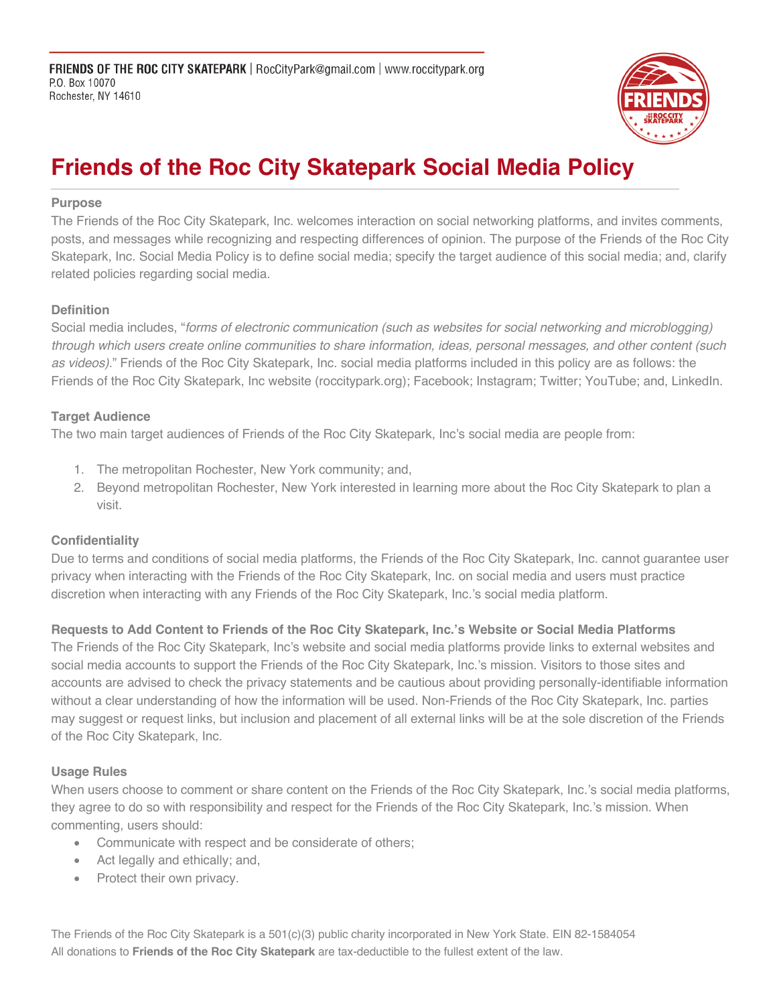

# **Friends of the Roc City Skatepark Social Media Policy**

#### **Purpose**

The Friends of the Roc City Skatepark, Inc. welcomes interaction on social networking platforms, and invites comments, posts, and messages while recognizing and respecting differences of opinion. The purpose of the Friends of the Roc City Skatepark, Inc. Social Media Policy is to define social media; specify the target audience of this social media; and, clarify related policies regarding social media.

### **Definition**

Social media includes, "*forms of electronic communication (such as websites for social networking and microblogging) through which users create online communities to share information, ideas, personal messages, and other content (such as videos).*" Friends of the Roc City Skatepark, Inc. social media platforms included in this policy are as follows: the Friends of the Roc City Skatepark, Inc website (roccitypark.org); Facebook; Instagram; Twitter; YouTube; and, LinkedIn.

## **Target Audience**

The two main target audiences of Friends of the Roc City Skatepark, Inc's social media are people from:

- 1. The metropolitan Rochester, New York community; and,
- 2. Beyond metropolitan Rochester, New York interested in learning more about the Roc City Skatepark to plan a visit.

### **Confidentiality**

Due to terms and conditions of social media platforms, the Friends of the Roc City Skatepark, Inc. cannot guarantee user privacy when interacting with the Friends of the Roc City Skatepark, Inc. on social media and users must practice discretion when interacting with any Friends of the Roc City Skatepark, Inc.'s social media platform.

**Requests to Add Content to Friends of the Roc City Skatepark, Inc.'s Website or Social Media Platforms**

The Friends of the Roc City Skatepark, Inc's website and social media platforms provide links to external websites and social media accounts to support the Friends of the Roc City Skatepark, Inc.'s mission. Visitors to those sites and accounts are advised to check the privacy statements and be cautious about providing personally-identifiable information without a clear understanding of how the information will be used. Non-Friends of the Roc City Skatepark, Inc. parties may suggest or request links, but inclusion and placement of all external links will be at the sole discretion of the Friends of the Roc City Skatepark, Inc.

### **Usage Rules**

When users choose to comment or share content on the Friends of the Roc City Skatepark, Inc.'s social media platforms, they agree to do so with responsibility and respect for the Friends of the Roc City Skatepark, Inc.'s mission. When commenting, users should:

- Communicate with respect and be considerate of others;
- Act legally and ethically; and,
- Protect their own privacy.

The Friends of the Roc City Skatepark is a 501(c)(3) public charity incorporated in New York State. EIN 82-1584054 All donations to **Friends of the Roc City Skatepark** are tax-deductible to the fullest extent of the law.